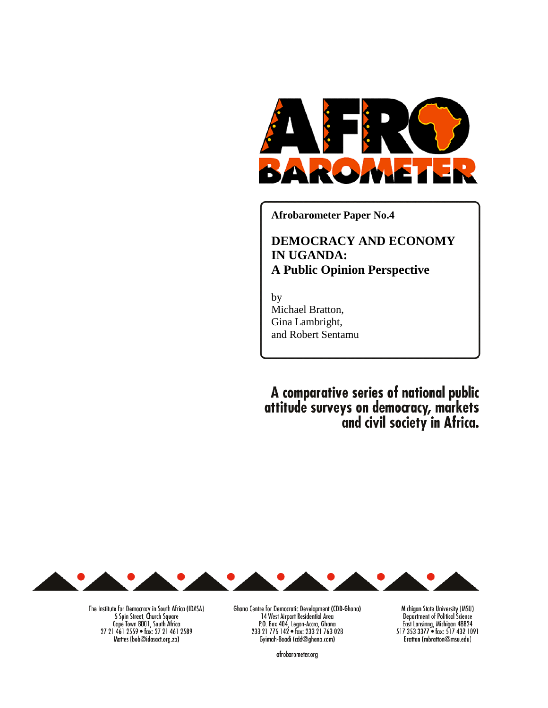

**Afrobarometer Paper No.4** 

# **DEMOCRACY AND ECONOMY IN UGANDA: A Public Opinion Perspective**

by Michael Bratton, Gina Lambright, and Robert Sentamu

A comparative series of national public attitude surveys on democracy, markets<br>and civil society in Africa.



The Institute for Democracy in South Africa (IDASA)<br>6 Spin Street, Church Square Cape Town 8001, South Africa<br>27 21 461 2559 • fax: 27 21 461 2589 Mattes (bob@idasact.org.za)

Ghana Centre for Democratic Development (CDD-Ghana) 14 West Airport Residential Area<br>
23 21 776 142 • fax: 233 21 763 028<br>
Cyimah-Boadi (cdd@ghana.com)

Michigan State University (MSU) Department of Political Science East Lansinng, Michigan 48824<br>517 353 3377 • fax: 517 432 1091 Bratton (mbratton@msu.edu)

afrobarometer.org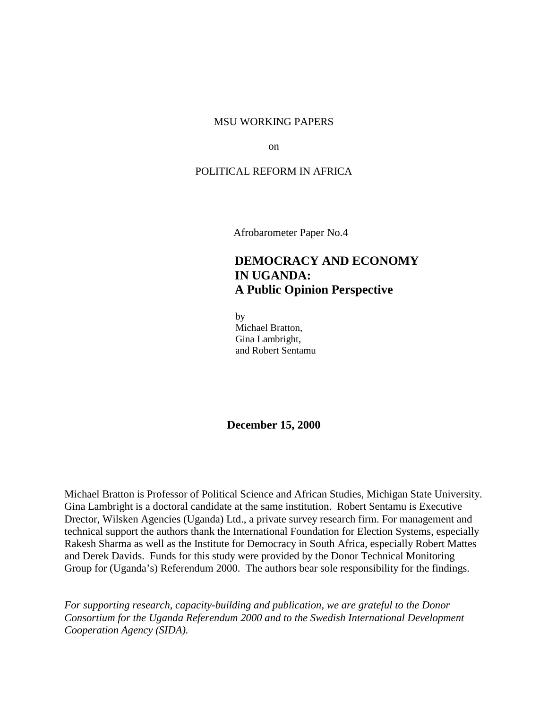#### MSU WORKING PAPERS

on

#### POLITICAL REFORM IN AFRICA

Afrobarometer Paper No.4

# **DEMOCRACY AND ECONOMY IN UGANDA: A Public Opinion Perspective**

 by Michael Bratton, Gina Lambright, and Robert Sentamu

**December 15, 2000** 

Michael Bratton is Professor of Political Science and African Studies, Michigan State University. Gina Lambright is a doctoral candidate at the same institution. Robert Sentamu is Executive Drector, Wilsken Agencies (Uganda) Ltd., a private survey research firm. For management and technical support the authors thank the International Foundation for Election Systems, especially Rakesh Sharma as well as the Institute for Democracy in South Africa, especially Robert Mattes and Derek Davids. Funds for this study were provided by the Donor Technical Monitoring Group for (Uganda's) Referendum 2000. The authors bear sole responsibility for the findings.

*For supporting research, capacity-building and publication, we are grateful to the Donor Consortium for the Uganda Referendum 2000 and to the Swedish International Development Cooperation Agency (SIDA).*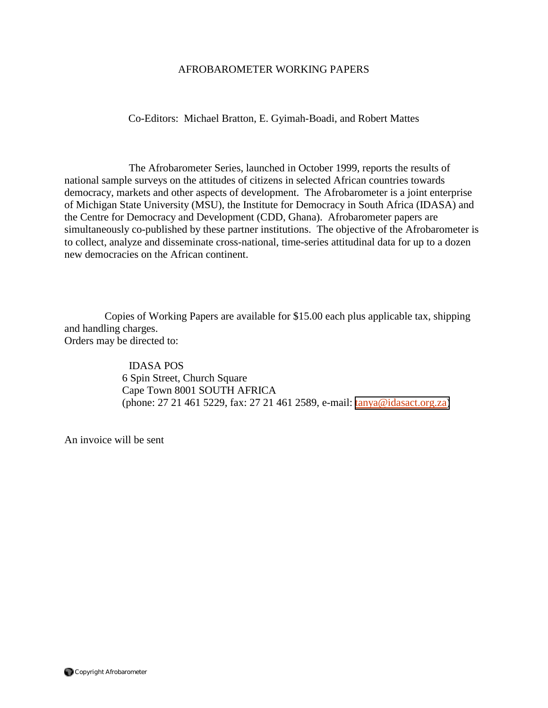### AFROBAROMETER WORKING PAPERS

Co-Editors: Michael Bratton, E. Gyimah-Boadi, and Robert Mattes

 The Afrobarometer Series, launched in October 1999, reports the results of national sample surveys on the attitudes of citizens in selected African countries towards democracy, markets and other aspects of development. The Afrobarometer is a joint enterprise of Michigan State University (MSU), the Institute for Democracy in South Africa (IDASA) and the Centre for Democracy and Development (CDD, Ghana). Afrobarometer papers are simultaneously co-published by these partner institutions. The objective of the Afrobarometer is to collect, analyze and disseminate cross-national, time-series attitudinal data for up to a dozen new democracies on the African continent.

Copies of Working Papers are available for \$15.00 each plus applicable tax, shipping and handling charges. Orders may be directed to:

> IDASA POS 6 Spin Street, Church Square Cape Town 8001 SOUTH AFRICA (phone: 27 21 461 5229, fax: 27 21 461 2589, e-mail: [tanya@idasact.org.za\)](mailto: tanya@idasact.org.za)

An invoice will be sent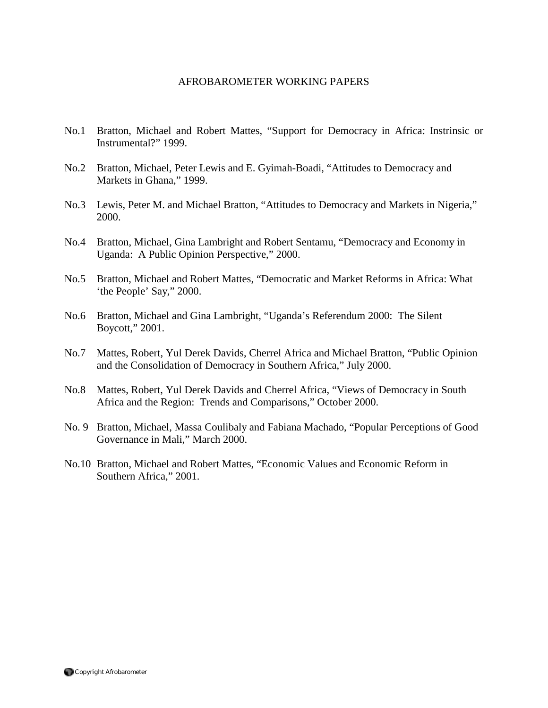### AFROBAROMETER WORKING PAPERS

- No.1 Bratton, Michael and Robert Mattes, "Support for Democracy in Africa: Instrinsic or Instrumental?" 1999.
- No.2 Bratton, Michael, Peter Lewis and E. Gyimah-Boadi, "Attitudes to Democracy and Markets in Ghana," 1999.
- No.3 Lewis, Peter M. and Michael Bratton, "Attitudes to Democracy and Markets in Nigeria," 2000.
- No.4 Bratton, Michael, Gina Lambright and Robert Sentamu, "Democracy and Economy in Uganda: A Public Opinion Perspective," 2000.
- No.5 Bratton, Michael and Robert Mattes, "Democratic and Market Reforms in Africa: What 'the People' Say," 2000.
- No.6 Bratton, Michael and Gina Lambright, "Uganda's Referendum 2000: The Silent Boycott," 2001.
- No.7 Mattes, Robert, Yul Derek Davids, Cherrel Africa and Michael Bratton, "Public Opinion and the Consolidation of Democracy in Southern Africa," July 2000.
- No.8 Mattes, Robert, Yul Derek Davids and Cherrel Africa, "Views of Democracy in South Africa and the Region: Trends and Comparisons," October 2000.
- No. 9 Bratton, Michael, Massa Coulibaly and Fabiana Machado, "Popular Perceptions of Good Governance in Mali," March 2000.
- No.10 Bratton, Michael and Robert Mattes, "Economic Values and Economic Reform in Southern Africa," 2001.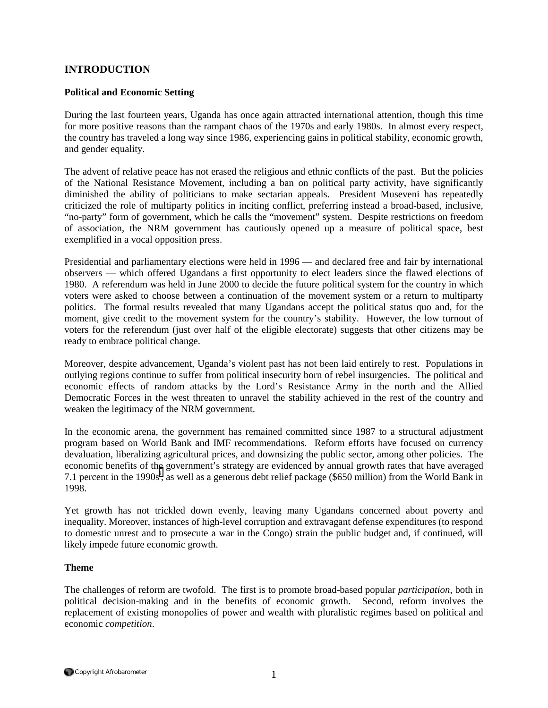# **INTRODUCTION**

#### **Political and Economic Setting**

During the last fourteen years, Uganda has once again attracted international attention, though this time for more positive reasons than the rampant chaos of the 1970s and early 1980s. In almost every respect, the country has traveled a long way since 1986, experiencing gains in political stability, economic growth, and gender equality.

The advent of relative peace has not erased the religious and ethnic conflicts of the past. But the policies of the National Resistance Movement, including a ban on political party activity, have significantly diminished the ability of politicians to make sectarian appeals. President Museveni has repeatedly criticized the role of multiparty politics in inciting conflict, preferring instead a broad-based, inclusive, "no-party" form of government, which he calls the "movement" system. Despite restrictions on freedom of association, the NRM government has cautiously opened up a measure of political space, best exemplified in a vocal opposition press.

Presidential and parliamentary elections were held in 1996 — and declared free and fair by international observers — which offered Ugandans a first opportunity to elect leaders since the flawed elections of 1980. A referendum was held in June 2000 to decide the future political system for the country in which voters were asked to choose between a continuation of the movement system or a return to multiparty politics. The formal results revealed that many Ugandans accept the political status quo and, for the moment, give credit to the movement system for the country's stability. However, the low turnout of voters for the referendum (just over half of the eligible electorate) suggests that other citizens may be ready to embrace political change.

Moreover, despite advancement, Uganda's violent past has not been laid entirely to rest. Populations in outlying regions continue to suffer from political insecurity born of rebel insurgencies. The political and economic effects of random attacks by the Lord's Resistance Army in the north and the Allied Democratic Forces in the west threaten to unravel the stability achieved in the rest of the country and weaken the legitimacy of the NRM government.

In the economic arena, the government has remained committed since 1987 to a structural adjustment program based on World Bank and IMF recommendations. Reform efforts have focused on currency devaluation, liberalizing agricultural prices, and downsizing the public sector, among other policies. The economic benefits of th[e](#page-26-0) government's strategy are evidenced by annual growth rates that have averaged 7.1 percent in the 1990s<sup>i</sup>, as well as a generous debt relief package (\$650 million) from the World Bank in 1998.

Yet growth has not trickled down evenly, leaving many Ugandans concerned about poverty and inequality. Moreover, instances of high-level corruption and extravagant defense expenditures (to respond to domestic unrest and to prosecute a war in the Congo) strain the public budget and, if continued, will likely impede future economic growth.

#### **Theme**

The challenges of reform are twofold. The first is to promote broad-based popular *participation*, both in political decision-making and in the benefits of economic growth. Second, reform involves the replacement of existing monopolies of power and wealth with pluralistic regimes based on political and economic *competition*.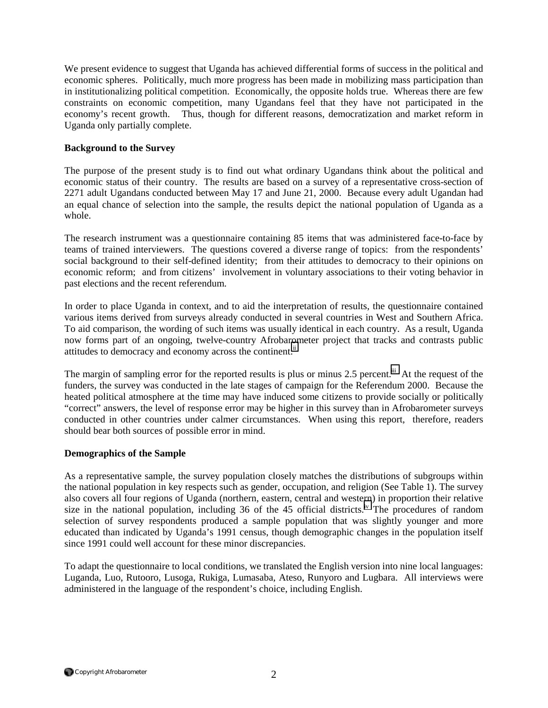We present evidence to suggest that Uganda has achieved differential forms of success in the political and economic spheres. Politically, much more progress has been made in mobilizing mass participation than in institutionalizing political competition. Economically, the opposite holds true. Whereas there are few constraints on economic competition, many Ugandans feel that they have not participated in the economy's recent growth. Thus, though for different reasons, democratization and market reform in Uganda only partially complete.

### **Background to the Survey**

The purpose of the present study is to find out what ordinary Ugandans think about the political and economic status of their country. The results are based on a survey of a representative cross-section of 2271 adult Ugandans conducted between May 17 and June 21, 2000. Because every adult Ugandan had an equal chance of selection into the sample, the results depict the national population of Uganda as a whole.

The research instrument was a questionnaire containing 85 items that was administered face-to-face by teams of trained interviewers. The questions covered a diverse range of topics: from the respondents' social background to their self-defined identity; from their attitudes to democracy to their opinions on economic reform; and from citizens' involvement in voluntary associations to their voting behavior in past elections and the recent referendum.

In order to place Uganda in context, and to aid the interpretation of results, the questionnaire contained various items derived from surveys already conducted in several countries in West and Southern Africa. To aid comparison, the wording of such items was usually identical in each country. As a result, Uganda now forms part of an ongoing, twelve-country Afrobarometer project that tracks and contrasts public attitudes to democracy and economy across the continent.<sup>[ii](#page-26-0)</sup>

The margin of sampling error for the reported results is plus or minus 2.5 percent.<sup>iii</sup> At the request of the funders, the survey was conducted in the late stages of campaign for the Referendum 2000. Because the heated political atmosphere at the time may have induced some citizens to provide socially or politically "correct" answers, the level of response error may be higher in this survey than in Afrobarometer surveys conducted in other countries under calmer circumstances. When using this report, therefore, readers should bear both sources of possible error in mind.

### **Demographics of the Sample**

As a representative sample, the survey population closely matches the distributions of subgroups within the national population in key respects such as gender, occupation, and religion (See Table 1). The survey also covers all four regions of Uganda (northern, eastern, central and western) in proportion their relative size in the national population, including 36 of the 45 official districts.<sup>iv</sup> The procedures of random selection of survey respondents produced a sample population that was slightly younger and more educated than indicated by Uganda's 1991 census, though demographic changes in the population itself since 1991 could well account for these minor discrepancies.

To adapt the questionnaire to local conditions, we translated the English version into nine local languages: Luganda, Luo, Rutooro, Lusoga, Rukiga, Lumasaba, Ateso, Runyoro and Lugbara. All interviews were administered in the language of the respondent's choice, including English.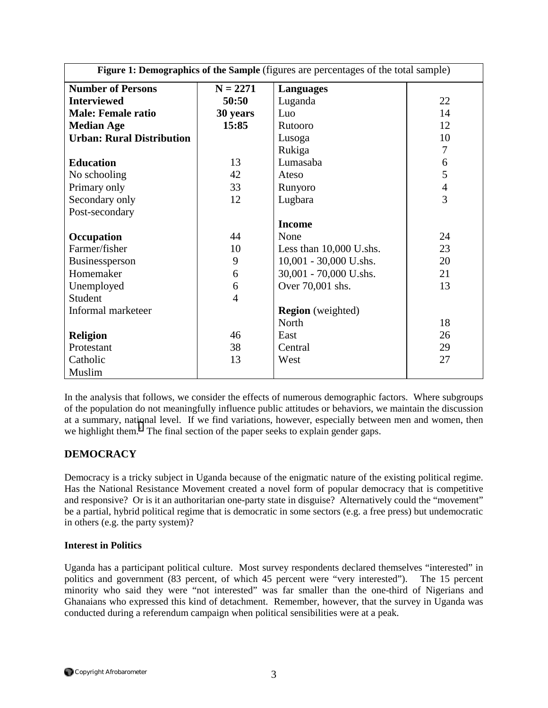| Figure 1: Demographics of the Sample (figures are percentages of the total sample) |                |                           |                |
|------------------------------------------------------------------------------------|----------------|---------------------------|----------------|
| <b>Number of Persons</b>                                                           | $N = 2271$     | <b>Languages</b>          |                |
| <b>Interviewed</b>                                                                 | 50:50          | Luganda                   | 22             |
| <b>Male: Female ratio</b>                                                          | 30 years       | Luo                       | 14             |
| <b>Median Age</b>                                                                  | 15:85          | Rutooro                   | 12             |
| <b>Urban: Rural Distribution</b>                                                   |                | Lusoga                    | 10             |
|                                                                                    |                | Rukiga                    | $\overline{7}$ |
| <b>Education</b>                                                                   | 13             | Lumasaba                  | 6              |
| No schooling                                                                       | 42             | Ateso                     | 5              |
| Primary only                                                                       | 33             | Runyoro                   | $\overline{4}$ |
| Secondary only                                                                     | 12             | Lugbara                   | $\overline{3}$ |
| Post-secondary                                                                     |                |                           |                |
|                                                                                    |                | <b>Income</b>             |                |
| Occupation                                                                         | 44             | None                      | 24             |
| Farmer/fisher                                                                      | 10             | Less than $10,000$ U.shs. | 23             |
| Businessperson                                                                     | 9              | 10,001 - 30,000 U.shs.    | 20             |
| Homemaker                                                                          | 6              | 30,001 - 70,000 U.shs.    | 21             |
| Unemployed                                                                         | 6              | Over 70,001 shs.          | 13             |
| Student                                                                            | $\overline{4}$ |                           |                |
| Informal marketeer                                                                 |                | <b>Region</b> (weighted)  |                |
|                                                                                    |                | North                     | 18             |
| <b>Religion</b>                                                                    | 46             | East                      | 26             |
| Protestant                                                                         | 38             | Central                   | 29             |
| Catholic                                                                           | 13             | West                      | 27             |
| Muslim                                                                             |                |                           |                |

In the analysis that follows, we consider the effects of numerous demographic factors. Where subgroups of the population do not meaningfully influence public attitudes or behaviors, we maintain the discussion at a summary, national level. If we find variations, however, especially between men and women, then we highlight them.<sup>[v](#page-26-0)</sup> The final section of the paper seeks to explain gender gaps.

# **DEMOCRACY**

Democracy is a tricky subject in Uganda because of the enigmatic nature of the existing political regime. Has the National Resistance Movement created a novel form of popular democracy that is competitive and responsive? Or is it an authoritarian one-party state in disguise? Alternatively could the "movement" be a partial, hybrid political regime that is democratic in some sectors (e.g. a free press) but undemocratic in others (e.g. the party system)?

### **Interest in Politics**

Uganda has a participant political culture. Most survey respondents declared themselves "interested" in politics and government (83 percent, of which 45 percent were "very interested"). The 15 percent minority who said they were "not interested" was far smaller than the one-third of Nigerians and Ghanaians who expressed this kind of detachment. Remember, however, that the survey in Uganda was conducted during a referendum campaign when political sensibilities were at a peak.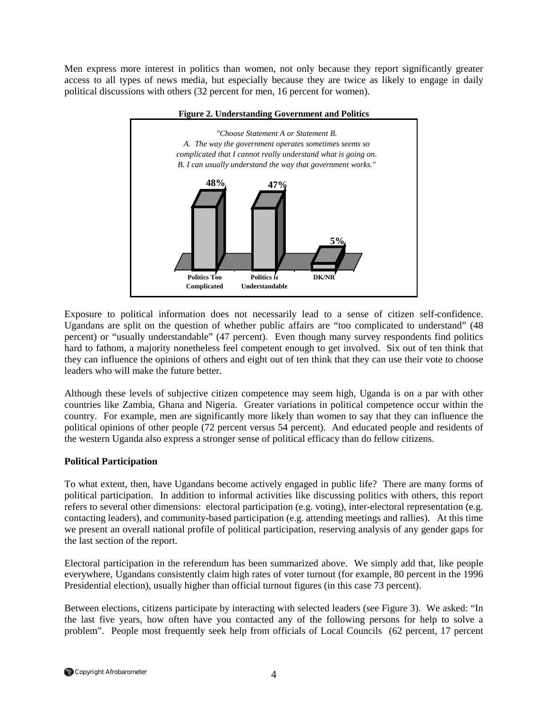Men express more interest in politics than women, not only because they report significantly greater access to all types of news media, but especially because they are twice as likely to engage in daily political discussions with others (32 percent for men, 16 percent for women).



#### **Figure 2. Understanding Government and Politics**

Exposure to political information does not necessarily lead to a sense of citizen self-confidence. Ugandans are split on the question of whether public affairs are "too complicated to understand" (48 percent) or "usually understandable" (47 percent). Even though many survey respondents find politics hard to fathom, a majority nonetheless feel competent enough to get involved. Six out of ten think that they can influence the opinions of others and eight out of ten think that they can use their vote to choose leaders who will make the future better.

Although these levels of subjective citizen competence may seem high, Uganda is on a par with other countries like Zambia, Ghana and Nigeria. Greater variations in political competence occur within the country. For example, men are significantly more likely than women to say that they can influence the political opinions of other people (72 percent versus 54 percent). And educated people and residents of the western Uganda also express a stronger sense of political efficacy than do fellow citizens.

### **Political Participation**

To what extent, then, have Ugandans become actively engaged in public life? There are many forms of political participation. In addition to informal activities like discussing politics with others, this report refers to several other dimensions: electoral participation (e.g. voting), inter-electoral representation (e.g. contacting leaders), and community-based participation (e.g. attending meetings and rallies). At this time we present an overall national profile of political participation, reserving analysis of any gender gaps for the last section of the report.

Electoral participation in the referendum has been summarized above. We simply add that, like people everywhere, Ugandans consistently claim high rates of voter turnout (for example, 80 percent in the 1996 Presidential election), usually higher than official turnout figures (in this case 73 percent).

Between elections, citizens participate by interacting with selected leaders (see Figure 3). We asked: "In the last five years, how often have you contacted any of the following persons for help to solve a problem". People most frequently seek help from officials of Local Councils (62 percent, 17 percent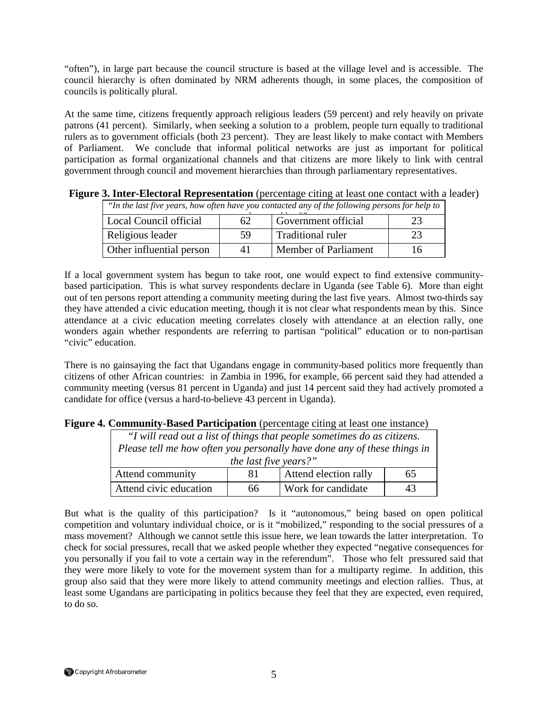"often"), in large part because the council structure is based at the village level and is accessible. The council hierarchy is often dominated by NRM adherents though, in some places, the composition of councils is politically plural.

At the same time, citizens frequently approach religious leaders (59 percent) and rely heavily on private patrons (41 percent). Similarly, when seeking a solution to a problem, people turn equally to traditional rulers as to government officials (both 23 percent). They are least likely to make contact with Members of Parliament. We conclude that informal political networks are just as important for political participation as formal organizational channels and that citizens are more likely to link with central government through council and movement hierarchies than through parliamentary representatives.

| "In the last five years, how often have you contacted any of the following persons for help to |    |                             |    |
|------------------------------------------------------------------------------------------------|----|-----------------------------|----|
| Local Council official                                                                         | 62 | Government official         |    |
| Religious leader                                                                               | 59 | <b>Traditional ruler</b>    |    |
| Other influential person                                                                       | 41 | <b>Member of Parliament</b> | 16 |

**Figure 3. Inter-Electoral Representation** (percentage citing at least one contact with a leader)

If a local government system has begun to take root, one would expect to find extensive communitybased participation. This is what survey respondents declare in Uganda (see Table 6). More than eight out of ten persons report attending a community meeting during the last five years. Almost two-thirds say they have attended a civic education meeting, though it is not clear what respondents mean by this. Since attendance at a civic education meeting correlates closely with attendance at an election rally, one wonders again whether respondents are referring to partisan "political" education or to non-partisan "civic" education.

There is no gainsaying the fact that Ugandans engage in community-based politics more frequently than citizens of other African countries: in Zambia in 1996, for example, 66 percent said they had attended a community meeting (versus 81 percent in Uganda) and just 14 percent said they had actively promoted a candidate for office (versus a hard-to-believe 43 percent in Uganda).

| Community Dubeu I ul intepution (percentage entity at feast one mounter) |    |                       |    |
|--------------------------------------------------------------------------|----|-----------------------|----|
| "I will read out a list of things that people sometimes do as citizens.  |    |                       |    |
| Please tell me how often you personally have done any of these things in |    |                       |    |
| the last five years?"                                                    |    |                       |    |
| Attend community                                                         | 81 | Attend election rally | 65 |
| Attend civic education                                                   | 66 | Work for candidate    | 43 |

### **Figure 4. Community-Based Participation** (percentage citing at least one instance)

But what is the quality of this participation? Is it "autonomous," being based on open political competition and voluntary individual choice, or is it "mobilized," responding to the social pressures of a mass movement? Although we cannot settle this issue here, we lean towards the latter interpretation. To check for social pressures, recall that we asked people whether they expected "negative consequences for you personally if you fail to vote a certain way in the referendum". Those who felt pressured said that they were more likely to vote for the movement system than for a multiparty regime. In addition, this group also said that they were more likely to attend community meetings and election rallies. Thus, at least some Ugandans are participating in politics because they feel that they are expected, even required, to do so.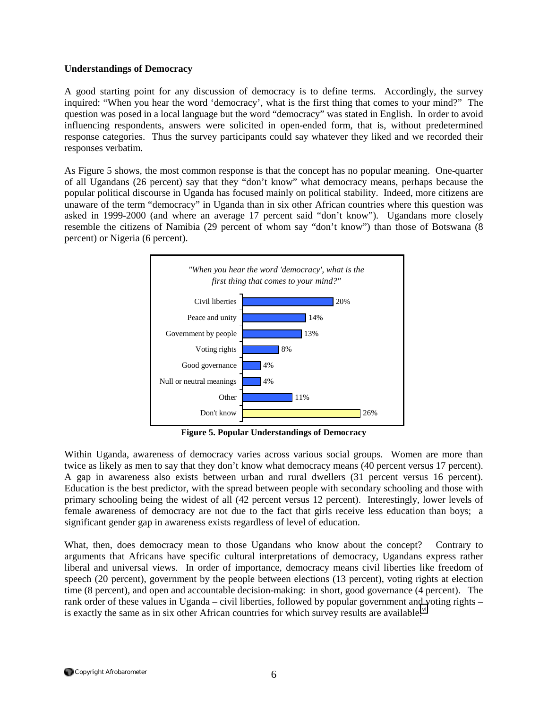### **Understandings of Democracy**

A good starting point for any discussion of democracy is to define terms. Accordingly, the survey inquired: "When you hear the word 'democracy', what is the first thing that comes to your mind?" The question was posed in a local language but the word "democracy" was stated in English. In order to avoid influencing respondents, answers were solicited in open-ended form, that is, without predetermined response categories. Thus the survey participants could say whatever they liked and we recorded their responses verbatim.

As Figure 5 shows, the most common response is that the concept has no popular meaning. One-quarter of all Ugandans (26 percent) say that they "don't know" what democracy means, perhaps because the popular political discourse in Uganda has focused mainly on political stability. Indeed, more citizens are unaware of the term "democracy" in Uganda than in six other African countries where this question was asked in 1999-2000 (and where an average 17 percent said "don't know"). Ugandans more closely resemble the citizens of Namibia (29 percent of whom say "don't know") than those of Botswana (8 percent) or Nigeria (6 percent).



**Figure 5. Popular Understandings of Democracy** 

Within Uganda, awareness of democracy varies across various social groups. Women are more than twice as likely as men to say that they don't know what democracy means (40 percent versus 17 percent). A gap in awareness also exists between urban and rural dwellers (31 percent versus 16 percent). Education is the best predictor, with the spread between people with secondary schooling and those with primary schooling being the widest of all (42 percent versus 12 percent). Interestingly, lower levels of female awareness of democracy are not due to the fact that girls receive less education than boys; a significant gender gap in awareness exists regardless of level of education.

What, then, does democracy mean to those Ugandans who know about the concept? Contrary to arguments that Africans have specific cultural interpretations of democracy, Ugandans express rather liberal and universal views. In order of importance, democracy means civil liberties like freedom of speech (20 percent), government by the people between elections (13 percent), voting rights at election time (8 percent), and open and accountable decision-making: in short, good governance (4 percent). The rank order of these values in Uganda – civil liberties, followed by popular government and voting rights – is exactly the same as in six other African countries for which survey results are available. $\dot{v}$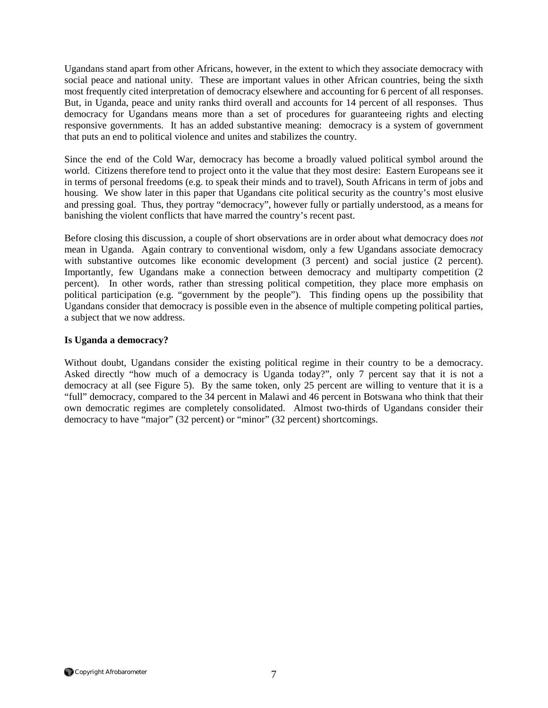Ugandans stand apart from other Africans, however, in the extent to which they associate democracy with social peace and national unity. These are important values in other African countries, being the sixth most frequently cited interpretation of democracy elsewhere and accounting for 6 percent of all responses. But, in Uganda, peace and unity ranks third overall and accounts for 14 percent of all responses. Thus democracy for Ugandans means more than a set of procedures for guaranteeing rights and electing responsive governments. It has an added substantive meaning: democracy is a system of government that puts an end to political violence and unites and stabilizes the country.

Since the end of the Cold War, democracy has become a broadly valued political symbol around the world. Citizens therefore tend to project onto it the value that they most desire: Eastern Europeans see it in terms of personal freedoms (e.g. to speak their minds and to travel), South Africans in term of jobs and housing. We show later in this paper that Ugandans cite political security as the country's most elusive and pressing goal. Thus, they portray "democracy", however fully or partially understood, as a means for banishing the violent conflicts that have marred the country's recent past.

Before closing this discussion, a couple of short observations are in order about what democracy does *not* mean in Uganda. Again contrary to conventional wisdom, only a few Ugandans associate democracy with substantive outcomes like economic development (3 percent) and social justice (2 percent). Importantly, few Ugandans make a connection between democracy and multiparty competition (2 percent). In other words, rather than stressing political competition, they place more emphasis on political participation (e.g. "government by the people"). This finding opens up the possibility that Ugandans consider that democracy is possible even in the absence of multiple competing political parties, a subject that we now address.

### **Is Uganda a democracy?**

Without doubt, Ugandans consider the existing political regime in their country to be a democracy. Asked directly "how much of a democracy is Uganda today?", only 7 percent say that it is not a democracy at all (see Figure 5). By the same token, only 25 percent are willing to venture that it is a "full" democracy, compared to the 34 percent in Malawi and 46 percent in Botswana who think that their own democratic regimes are completely consolidated. Almost two-thirds of Ugandans consider their democracy to have "major" (32 percent) or "minor" (32 percent) shortcomings.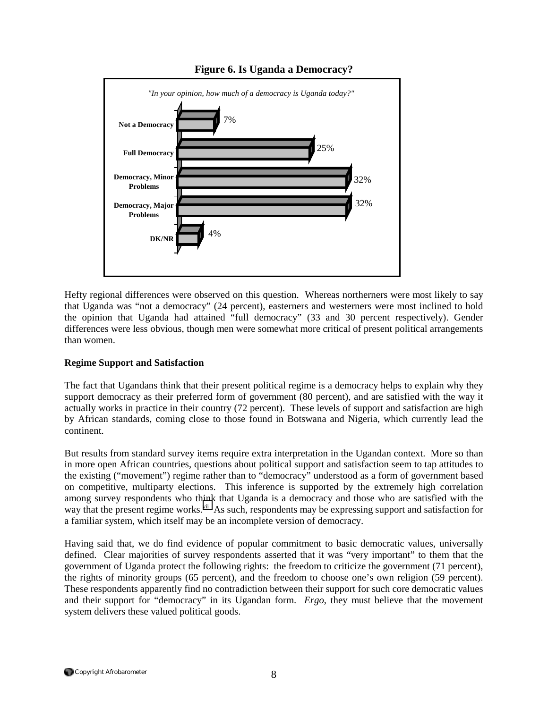

## **Figure 6. Is Uganda a Democracy?**

Hefty regional differences were observed on this question. Whereas northerners were most likely to say that Uganda was "not a democracy" (24 percent), easterners and westerners were most inclined to hold the opinion that Uganda had attained "full democracy" (33 and 30 percent respectively). Gender differences were less obvious, though men were somewhat more critical of present political arrangements than women.

### **Regime Support and Satisfaction**

The fact that Ugandans think that their present political regime is a democracy helps to explain why they support democracy as their preferred form of government (80 percent), and are satisfied with the way it actually works in practice in their country (72 percent). These levels of support and satisfaction are high by African standards, coming close to those found in Botswana and Nigeria, which currently lead the continent.

But results from standard survey items require extra interpretation in the Ugandan context. More so than in more open African countries, questions about political support and satisfaction seem to tap attitudes to the existing ("movement") regime rather than to "democracy" understood as a form of government based on competitive, multiparty elections. This inference is supported by the extremely high correlation among survey respondents who think that Uganda is a democracy and those who are satisfied with the way that the present regime works.<sup>vii</sup> As such, respondents may be expressing support and satisfaction for a familiar system, which itself may be an incomplete version of democracy.

Having said that, we do find evidence of popular commitment to basic democratic values, universally defined. Clear majorities of survey respondents asserted that it was "very important" to them that the government of Uganda protect the following rights: the freedom to criticize the government (71 percent), the rights of minority groups (65 percent), and the freedom to choose one's own religion (59 percent). These respondents apparently find no contradiction between their support for such core democratic values and their support for "democracy" in its Ugandan form. *Ergo*, they must believe that the movement system delivers these valued political goods.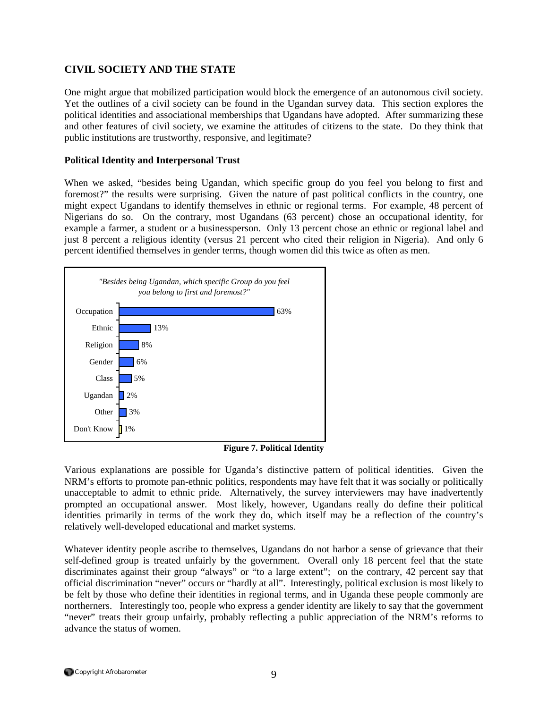# **CIVIL SOCIETY AND THE STATE**

One might argue that mobilized participation would block the emergence of an autonomous civil society. Yet the outlines of a civil society can be found in the Ugandan survey data. This section explores the political identities and associational memberships that Ugandans have adopted. After summarizing these and other features of civil society, we examine the attitudes of citizens to the state. Do they think that public institutions are trustworthy, responsive, and legitimate?

### **Political Identity and Interpersonal Trust**

When we asked, "besides being Ugandan, which specific group do you feel you belong to first and foremost?" the results were surprising. Given the nature of past political conflicts in the country, one might expect Ugandans to identify themselves in ethnic or regional terms. For example, 48 percent of Nigerians do so. On the contrary, most Ugandans (63 percent) chose an occupational identity, for example a farmer, a student or a businessperson. Only 13 percent chose an ethnic or regional label and just 8 percent a religious identity (versus 21 percent who cited their religion in Nigeria). And only 6 percent identified themselves in gender terms, though women did this twice as often as men.



**Figure 7. Political Identity** 

Various explanations are possible for Uganda's distinctive pattern of political identities. Given the NRM's efforts to promote pan-ethnic politics, respondents may have felt that it was socially or politically unacceptable to admit to ethnic pride. Alternatively, the survey interviewers may have inadvertently prompted an occupational answer. Most likely, however, Ugandans really do define their political identities primarily in terms of the work they do, which itself may be a reflection of the country's relatively well-developed educational and market systems.

Whatever identity people ascribe to themselves, Ugandans do not harbor a sense of grievance that their self-defined group is treated unfairly by the government. Overall only 18 percent feel that the state discriminates against their group "always" or "to a large extent"; on the contrary, 42 percent say that official discrimination "never" occurs or "hardly at all". Interestingly, political exclusion is most likely to be felt by those who define their identities in regional terms, and in Uganda these people commonly are northerners. Interestingly too, people who express a gender identity are likely to say that the government "never" treats their group unfairly, probably reflecting a public appreciation of the NRM's reforms to advance the status of women.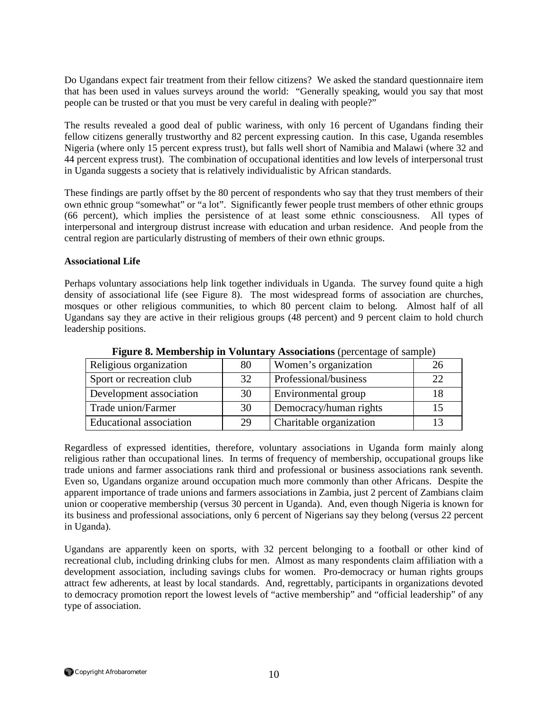Do Ugandans expect fair treatment from their fellow citizens? We asked the standard questionnaire item that has been used in values surveys around the world: "Generally speaking, would you say that most people can be trusted or that you must be very careful in dealing with people?"

The results revealed a good deal of public wariness, with only 16 percent of Ugandans finding their fellow citizens generally trustworthy and 82 percent expressing caution. In this case, Uganda resembles Nigeria (where only 15 percent express trust), but falls well short of Namibia and Malawi (where 32 and 44 percent express trust). The combination of occupational identities and low levels of interpersonal trust in Uganda suggests a society that is relatively individualistic by African standards.

These findings are partly offset by the 80 percent of respondents who say that they trust members of their own ethnic group "somewhat" or "a lot". Significantly fewer people trust members of other ethnic groups (66 percent), which implies the persistence of at least some ethnic consciousness. All types of interpersonal and intergroup distrust increase with education and urban residence. And people from the central region are particularly distrusting of members of their own ethnic groups.

### **Associational Life**

Perhaps voluntary associations help link together individuals in Uganda. The survey found quite a high density of associational life (see Figure 8). The most widespread forms of association are churches, mosques or other religious communities, to which 80 percent claim to belong. Almost half of all Ugandans say they are active in their religious groups (48 percent) and 9 percent claim to hold church leadership positions.

| Religious organization   | 80 | Women's organization    | 26 |
|--------------------------|----|-------------------------|----|
| Sport or recreation club | 32 | Professional/business   | 22 |
| Development association  | 30 | Environmental group     |    |
| Trade union/Farmer       | 30 | Democracy/human rights  |    |
| Educational association  | 29 | Charitable organization |    |

**Figure 8. Membership in Voluntary Associations** (percentage of sample)

Regardless of expressed identities, therefore, voluntary associations in Uganda form mainly along religious rather than occupational lines. In terms of frequency of membership, occupational groups like trade unions and farmer associations rank third and professional or business associations rank seventh. Even so, Ugandans organize around occupation much more commonly than other Africans. Despite the apparent importance of trade unions and farmers associations in Zambia, just 2 percent of Zambians claim union or cooperative membership (versus 30 percent in Uganda). And, even though Nigeria is known for its business and professional associations, only 6 percent of Nigerians say they belong (versus 22 percent in Uganda).

Ugandans are apparently keen on sports, with 32 percent belonging to a football or other kind of recreational club, including drinking clubs for men. Almost as many respondents claim affiliation with a development association, including savings clubs for women. Pro-democracy or human rights groups attract few adherents, at least by local standards. And, regrettably, participants in organizations devoted to democracy promotion report the lowest levels of "active membership" and "official leadership" of any type of association.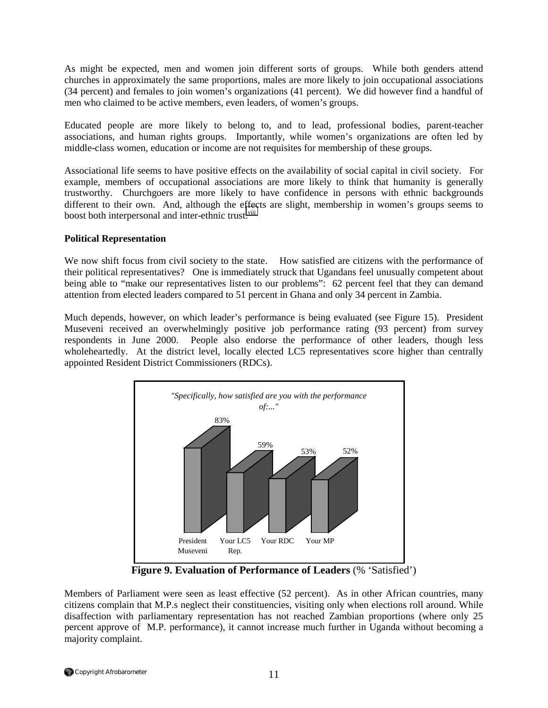As might be expected, men and women join different sorts of groups. While both genders attend churches in approximately the same proportions, males are more likely to join occupational associations (34 percent) and females to join women's organizations (41 percent). We did however find a handful of men who claimed to be active members, even leaders, of women's groups.

Educated people are more likely to belong to, and to lead, professional bodies, parent-teacher associations, and human rights groups. Importantly, while women's organizations are often led by middle-class women, education or income are not requisites for membership of these groups.

Associational life seems to have positive effects on the availability of social capital in civil society. For example, members of occupational associations are more likely to think that humanity is generally trustworthy. Churchgoers are more likely to have confidence in persons with ethnic backgrounds different to their own. And, although the effects are slight, membership in women's groups seems to boost both interpersonal and inter-ethnic trust.<sup>viii</sup>

### **Political Representation**

We now shift focus from civil society to the state. How satisfied are citizens with the performance of their political representatives? One is immediately struck that Ugandans feel unusually competent about being able to "make our representatives listen to our problems": 62 percent feel that they can demand attention from elected leaders compared to 51 percent in Ghana and only 34 percent in Zambia.

Much depends, however, on which leader's performance is being evaluated (see Figure 15). President Museveni received an overwhelmingly positive job performance rating (93 percent) from survey respondents in June 2000. People also endorse the performance of other leaders, though less wholeheartedly. At the district level, locally elected LC5 representatives score higher than centrally appointed Resident District Commissioners (RDCs).



**Figure 9. Evaluation of Performance of Leaders** (% 'Satisfied')

Members of Parliament were seen as least effective (52 percent). As in other African countries, many citizens complain that M.P.s neglect their constituencies, visiting only when elections roll around. While disaffection with parliamentary representation has not reached Zambian proportions (where only 25 percent approve of M.P. performance), it cannot increase much further in Uganda without becoming a majority complaint.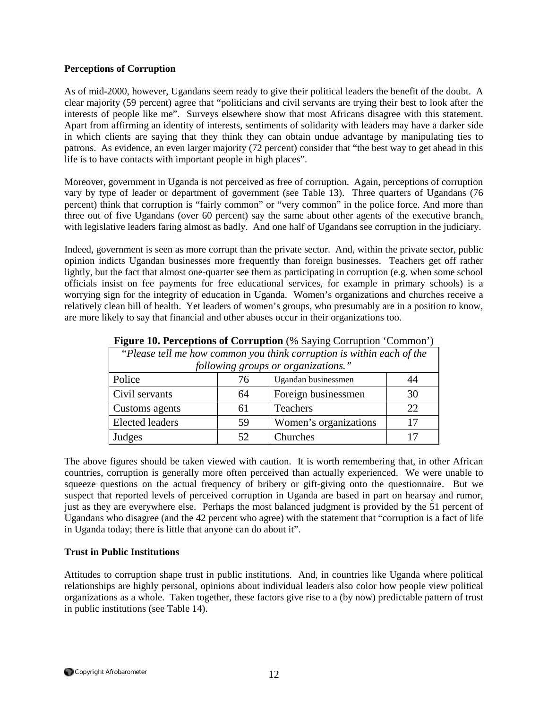### **Perceptions of Corruption**

As of mid-2000, however, Ugandans seem ready to give their political leaders the benefit of the doubt. A clear majority (59 percent) agree that "politicians and civil servants are trying their best to look after the interests of people like me". Surveys elsewhere show that most Africans disagree with this statement. Apart from affirming an identity of interests, sentiments of solidarity with leaders may have a darker side in which clients are saying that they think they can obtain undue advantage by manipulating ties to patrons. As evidence, an even larger majority (72 percent) consider that "the best way to get ahead in this life is to have contacts with important people in high places".

Moreover, government in Uganda is not perceived as free of corruption. Again, perceptions of corruption vary by type of leader or department of government (see Table 13). Three quarters of Ugandans (76 percent) think that corruption is "fairly common" or "very common" in the police force. And more than three out of five Ugandans (over 60 percent) say the same about other agents of the executive branch, with legislative leaders faring almost as badly. And one half of Ugandans see corruption in the judiciary.

Indeed, government is seen as more corrupt than the private sector. And, within the private sector, public opinion indicts Ugandan businesses more frequently than foreign businesses. Teachers get off rather lightly, but the fact that almost one-quarter see them as participating in corruption (e.g. when some school officials insist on fee payments for free educational services, for example in primary schools) is a worrying sign for the integrity of education in Uganda. Women's organizations and churches receive a relatively clean bill of health. Yet leaders of women's groups, who presumably are in a position to know, are more likely to say that financial and other abuses occur in their organizations too.

| "Please tell me how common you think corruption is within each of the<br>following groups or organizations." |    |                       |    |
|--------------------------------------------------------------------------------------------------------------|----|-----------------------|----|
| Police                                                                                                       | 76 | Ugandan businessmen   |    |
| Civil servants                                                                                               | 64 | Foreign businessmen   | 30 |
| Customs agents                                                                                               | 61 | Teachers              | 22 |
| <b>Elected leaders</b>                                                                                       | 59 | Women's organizations |    |
| Judges                                                                                                       | 52 | Churches              |    |

**Figure 10. Perceptions of Corruption** (% Saying Corruption 'Common')

The above figures should be taken viewed with caution. It is worth remembering that, in other African countries, corruption is generally more often perceived than actually experienced. We were unable to squeeze questions on the actual frequency of bribery or gift-giving onto the questionnaire. But we suspect that reported levels of perceived corruption in Uganda are based in part on hearsay and rumor, just as they are everywhere else. Perhaps the most balanced judgment is provided by the 51 percent of Ugandans who disagree (and the 42 percent who agree) with the statement that "corruption is a fact of life in Uganda today; there is little that anyone can do about it".

### **Trust in Public Institutions**

Attitudes to corruption shape trust in public institutions. And, in countries like Uganda where political relationships are highly personal, opinions about individual leaders also color how people view political organizations as a whole. Taken together, these factors give rise to a (by now) predictable pattern of trust in public institutions (see Table 14).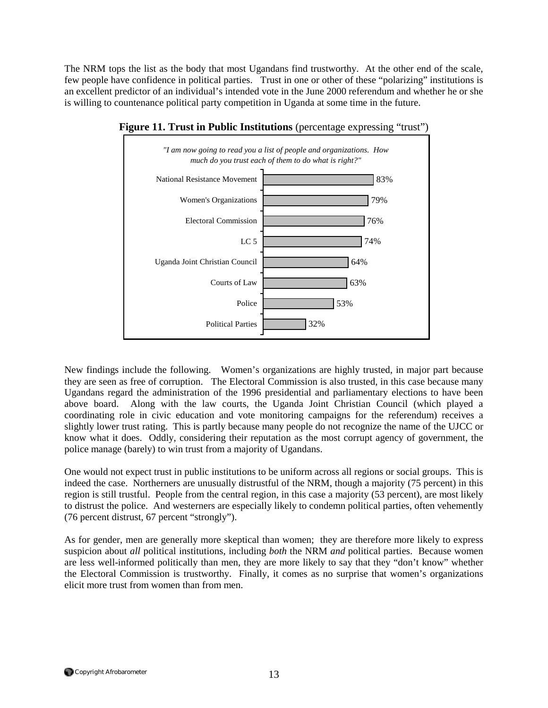The NRM tops the list as the body that most Ugandans find trustworthy. At the other end of the scale, few people have confidence in political parties. Trust in one or other of these "polarizing" institutions is an excellent predictor of an individual's intended vote in the June 2000 referendum and whether he or she is willing to countenance political party competition in Uganda at some time in the future.



**Figure 11. Trust in Public Institutions** (percentage expressing "trust")

New findings include the following. Women's organizations are highly trusted, in major part because they are seen as free of corruption. The Electoral Commission is also trusted, in this case because many Ugandans regard the administration of the 1996 presidential and parliamentary elections to have been above board. Along with the law courts, the Uganda Joint Christian Council (which played a coordinating role in civic education and vote monitoring campaigns for the referendum) receives a slightly lower trust rating. This is partly because many people do not recognize the name of the UJCC or know what it does. Oddly, considering their reputation as the most corrupt agency of government, the police manage (barely) to win trust from a majority of Ugandans.

One would not expect trust in public institutions to be uniform across all regions or social groups. This is indeed the case. Northerners are unusually distrustful of the NRM, though a majority (75 percent) in this region is still trustful. People from the central region, in this case a majority (53 percent), are most likely to distrust the police. And westerners are especially likely to condemn political parties, often vehemently (76 percent distrust, 67 percent "strongly").

As for gender, men are generally more skeptical than women; they are therefore more likely to express suspicion about *all* political institutions, including *both* the NRM *and* political parties. Because women are less well-informed politically than men, they are more likely to say that they "don't know" whether the Electoral Commission is trustworthy. Finally, it comes as no surprise that women's organizations elicit more trust from women than from men.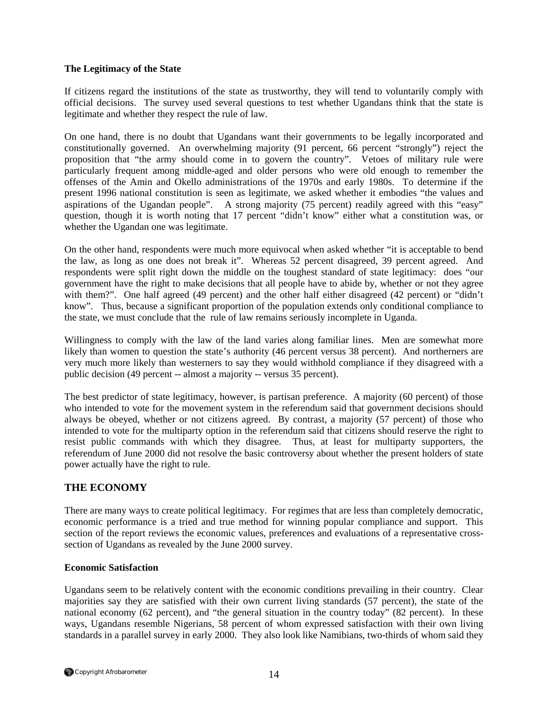### **The Legitimacy of the State**

If citizens regard the institutions of the state as trustworthy, they will tend to voluntarily comply with official decisions. The survey used several questions to test whether Ugandans think that the state is legitimate and whether they respect the rule of law.

On one hand, there is no doubt that Ugandans want their governments to be legally incorporated and constitutionally governed. An overwhelming majority (91 percent, 66 percent "strongly") reject the proposition that "the army should come in to govern the country". Vetoes of military rule were particularly frequent among middle-aged and older persons who were old enough to remember the offenses of the Amin and Okello administrations of the 1970s and early 1980s. To determine if the present 1996 national constitution is seen as legitimate, we asked whether it embodies "the values and aspirations of the Ugandan people". A strong majority (75 percent) readily agreed with this "easy" question, though it is worth noting that 17 percent "didn't know" either what a constitution was, or whether the Ugandan one was legitimate.

On the other hand, respondents were much more equivocal when asked whether "it is acceptable to bend the law, as long as one does not break it". Whereas 52 percent disagreed, 39 percent agreed. And respondents were split right down the middle on the toughest standard of state legitimacy: does "our government have the right to make decisions that all people have to abide by, whether or not they agree with them?". One half agreed (49 percent) and the other half either disagreed (42 percent) or "didn't know". Thus, because a significant proportion of the population extends only conditional compliance to the state, we must conclude that the rule of law remains seriously incomplete in Uganda.

Willingness to comply with the law of the land varies along familiar lines. Men are somewhat more likely than women to question the state's authority (46 percent versus 38 percent). And northerners are very much more likely than westerners to say they would withhold compliance if they disagreed with a public decision (49 percent -- almost a majority -- versus 35 percent).

The best predictor of state legitimacy, however, is partisan preference. A majority (60 percent) of those who intended to vote for the movement system in the referendum said that government decisions should always be obeyed, whether or not citizens agreed. By contrast, a majority (57 percent) of those who intended to vote for the multiparty option in the referendum said that citizens should reserve the right to resist public commands with which they disagree. Thus, at least for multiparty supporters, the referendum of June 2000 did not resolve the basic controversy about whether the present holders of state power actually have the right to rule.

### **THE ECONOMY**

There are many ways to create political legitimacy. For regimes that are less than completely democratic, economic performance is a tried and true method for winning popular compliance and support. This section of the report reviews the economic values, preferences and evaluations of a representative crosssection of Ugandans as revealed by the June 2000 survey.

### **Economic Satisfaction**

Ugandans seem to be relatively content with the economic conditions prevailing in their country. Clear majorities say they are satisfied with their own current living standards (57 percent), the state of the national economy (62 percent), and "the general situation in the country today" (82 percent). In these ways, Ugandans resemble Nigerians, 58 percent of whom expressed satisfaction with their own living standards in a parallel survey in early 2000. They also look like Namibians, two-thirds of whom said they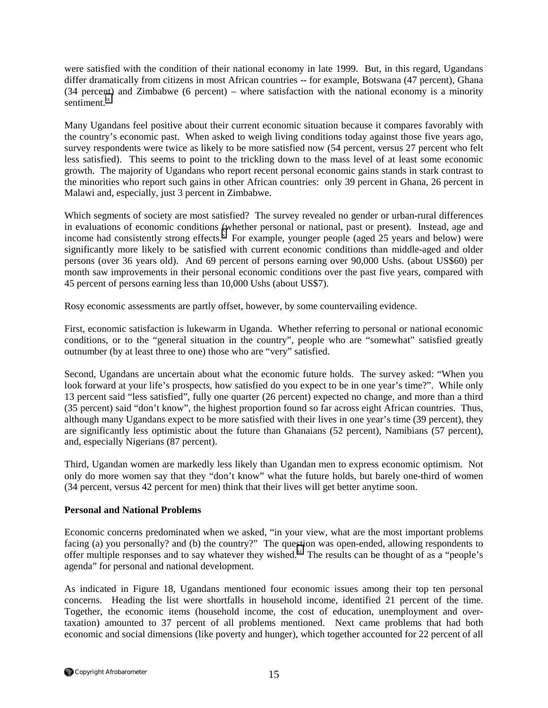were satisfied with the condition of their national economy in late 1999. But, in this regard, Ugandans differ dramatically from citizens in most African countries -- for example, Botswana (47 percent), Ghana (34 percent) and Zimbabwe (6 percent) – where satisfaction with the national economy is a minority sentiment.<sup>[ix](#page-26-0)</sup>

Many Ugandans feel positive about their current economic situation because it compares favorably with the country's economic past. When asked to weigh living conditions today against those five years ago, survey respondents were twice as likely to be more satisfied now (54 percent, versus 27 percent who felt less satisfied). This seems to point to the trickling down to the mass level of at least some economic growth. The majority of Ugandans who report recent personal economic gains stands in stark contrast to the minorities who report such gains in other African countries: only 39 percent in Ghana, 26 percent in Malawi and, especially, just 3 percent in Zimbabwe.

Which segments of society are most satisfied? The survey revealed no gender or urban-rural differences in evaluations of economic conditions (whether personal or national, past or present). Instead, age and income had consistently strong effects.<sup>x</sup> For example, younger people (aged 25 years and below) were significantly more likely to be satisfied with current economic conditions than middle-aged and older persons (over 36 years old). And 69 percent of persons earning over 90,000 Ushs. (about US\$60) per month saw improvements in their personal economic conditions over the past five years, compared with 45 percent of persons earning less than 10,000 Ushs (about US\$7).

Rosy economic assessments are partly offset, however, by some countervailing evidence.

First, economic satisfaction is lukewarm in Uganda. Whether referring to personal or national economic conditions, or to the "general situation in the country", people who are "somewhat" satisfied greatly outnumber (by at least three to one) those who are "very" satisfied.

Second, Ugandans are uncertain about what the economic future holds. The survey asked: "When you look forward at your life's prospects, how satisfied do you expect to be in one year's time?". While only 13 percent said "less satisfied", fully one quarter (26 percent) expected no change, and more than a third (35 percent) said "don't know", the highest proportion found so far across eight African countries. Thus, although many Ugandans expect to be more satisfied with their lives in one year's time (39 percent), they are significantly less optimistic about the future than Ghanaians (52 percent), Namibians (57 percent), and, especially Nigerians (87 percent).

Third, Ugandan women are markedly less likely than Ugandan men to express economic optimism. Not only do more women say that they "don't know" what the future holds, but barely one-third of women (34 percent, versus 42 percent for men) think that their lives will get better anytime soon.

### **Personal and National Problems**

Economic concerns predominated when we asked, "in your view, what are the most important problems facing (a) you personally? and (b) the country?" The question was open-ended, allowing respondents to offer multiple responses and to say whatever they wished.<sup>xi</sup> The results can be thought of as a "people's agenda" for personal and national development.

As indicated in Figure 18, Ugandans mentioned four economic issues among their top ten personal concerns. Heading the list were shortfalls in household income, identified 21 percent of the time. Together, the economic items (household income, the cost of education, unemployment and overtaxation) amounted to 37 percent of all problems mentioned. Next came problems that had both economic and social dimensions (like poverty and hunger), which together accounted for 22 percent of all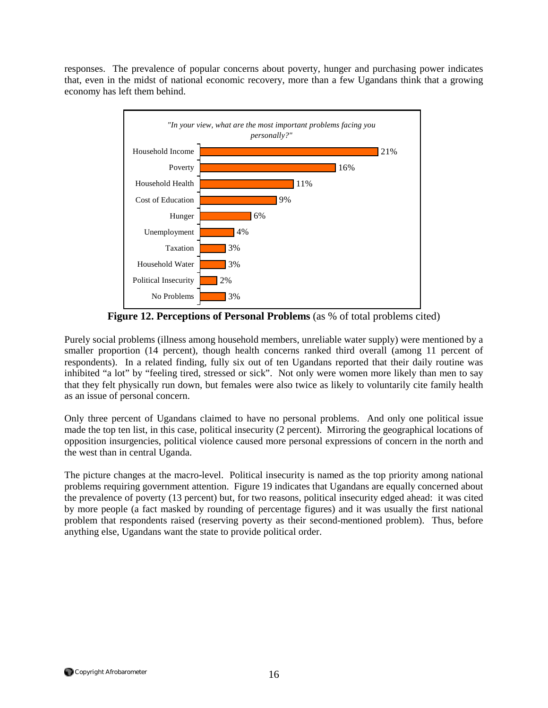responses. The prevalence of popular concerns about poverty, hunger and purchasing power indicates that, even in the midst of national economic recovery, more than a few Ugandans think that a growing economy has left them behind.



**Figure 12. Perceptions of Personal Problems** (as % of total problems cited)

Purely social problems (illness among household members, unreliable water supply) were mentioned by a smaller proportion (14 percent), though health concerns ranked third overall (among 11 percent of respondents). In a related finding, fully six out of ten Ugandans reported that their daily routine was inhibited "a lot" by "feeling tired, stressed or sick". Not only were women more likely than men to say that they felt physically run down, but females were also twice as likely to voluntarily cite family health as an issue of personal concern.

Only three percent of Ugandans claimed to have no personal problems. And only one political issue made the top ten list, in this case, political insecurity (2 percent). Mirroring the geographical locations of opposition insurgencies, political violence caused more personal expressions of concern in the north and the west than in central Uganda.

The picture changes at the macro-level. Political insecurity is named as the top priority among national problems requiring government attention. Figure 19 indicates that Ugandans are equally concerned about the prevalence of poverty (13 percent) but, for two reasons, political insecurity edged ahead: it was cited by more people (a fact masked by rounding of percentage figures) and it was usually the first national problem that respondents raised (reserving poverty as their second-mentioned problem). Thus, before anything else, Ugandans want the state to provide political order.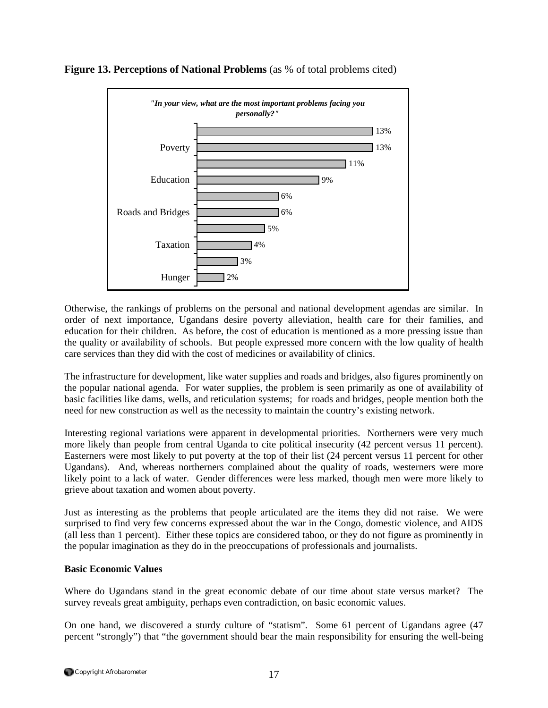

**Figure 13. Perceptions of National Problems** (as % of total problems cited)

Otherwise, the rankings of problems on the personal and national development agendas are similar. In order of next importance, Ugandans desire poverty alleviation, health care for their families, and education for their children. As before, the cost of education is mentioned as a more pressing issue than the quality or availability of schools. But people expressed more concern with the low quality of health care services than they did with the cost of medicines or availability of clinics.

The infrastructure for development, like water supplies and roads and bridges, also figures prominently on the popular national agenda. For water supplies, the problem is seen primarily as one of availability of basic facilities like dams, wells, and reticulation systems; for roads and bridges, people mention both the need for new construction as well as the necessity to maintain the country's existing network.

Interesting regional variations were apparent in developmental priorities. Northerners were very much more likely than people from central Uganda to cite political insecurity (42 percent versus 11 percent). Easterners were most likely to put poverty at the top of their list (24 percent versus 11 percent for other Ugandans). And, whereas northerners complained about the quality of roads, westerners were more likely point to a lack of water. Gender differences were less marked, though men were more likely to grieve about taxation and women about poverty.

Just as interesting as the problems that people articulated are the items they did not raise. We were surprised to find very few concerns expressed about the war in the Congo, domestic violence, and AIDS (all less than 1 percent). Either these topics are considered taboo, or they do not figure as prominently in the popular imagination as they do in the preoccupations of professionals and journalists.

### **Basic Economic Values**

Where do Ugandans stand in the great economic debate of our time about state versus market? The survey reveals great ambiguity, perhaps even contradiction, on basic economic values.

On one hand, we discovered a sturdy culture of "statism". Some 61 percent of Ugandans agree (47 percent "strongly") that "the government should bear the main responsibility for ensuring the well-being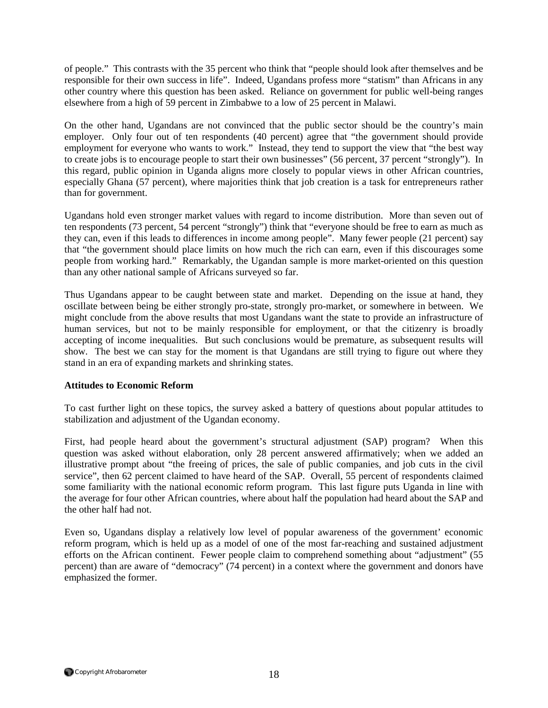of people." This contrasts with the 35 percent who think that "people should look after themselves and be responsible for their own success in life". Indeed, Ugandans profess more "statism" than Africans in any other country where this question has been asked. Reliance on government for public well-being ranges elsewhere from a high of 59 percent in Zimbabwe to a low of 25 percent in Malawi.

On the other hand, Ugandans are not convinced that the public sector should be the country's main employer. Only four out of ten respondents (40 percent) agree that "the government should provide employment for everyone who wants to work." Instead, they tend to support the view that "the best way to create jobs is to encourage people to start their own businesses" (56 percent, 37 percent "strongly"). In this regard, public opinion in Uganda aligns more closely to popular views in other African countries, especially Ghana (57 percent), where majorities think that job creation is a task for entrepreneurs rather than for government.

Ugandans hold even stronger market values with regard to income distribution. More than seven out of ten respondents (73 percent, 54 percent "strongly") think that "everyone should be free to earn as much as they can, even if this leads to differences in income among people". Many fewer people (21 percent) say that "the government should place limits on how much the rich can earn, even if this discourages some people from working hard." Remarkably, the Ugandan sample is more market-oriented on this question than any other national sample of Africans surveyed so far.

Thus Ugandans appear to be caught between state and market. Depending on the issue at hand, they oscillate between being be either strongly pro-state, strongly pro-market, or somewhere in between. We might conclude from the above results that most Ugandans want the state to provide an infrastructure of human services, but not to be mainly responsible for employment, or that the citizenry is broadly accepting of income inequalities. But such conclusions would be premature, as subsequent results will show. The best we can stay for the moment is that Ugandans are still trying to figure out where they stand in an era of expanding markets and shrinking states.

### **Attitudes to Economic Reform**

To cast further light on these topics, the survey asked a battery of questions about popular attitudes to stabilization and adjustment of the Ugandan economy.

First, had people heard about the government's structural adjustment (SAP) program? When this question was asked without elaboration, only 28 percent answered affirmatively; when we added an illustrative prompt about "the freeing of prices, the sale of public companies, and job cuts in the civil service", then 62 percent claimed to have heard of the SAP. Overall, 55 percent of respondents claimed some familiarity with the national economic reform program. This last figure puts Uganda in line with the average for four other African countries, where about half the population had heard about the SAP and the other half had not.

Even so, Ugandans display a relatively low level of popular awareness of the government' economic reform program, which is held up as a model of one of the most far-reaching and sustained adjustment efforts on the African continent. Fewer people claim to comprehend something about "adjustment" (55 percent) than are aware of "democracy" (74 percent) in a context where the government and donors have emphasized the former.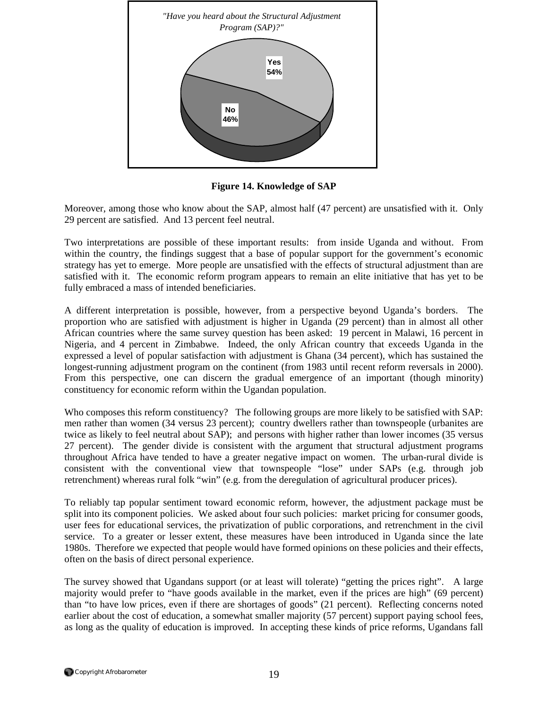

**Figure 14. Knowledge of SAP** 

Moreover, among those who know about the SAP, almost half (47 percent) are unsatisfied with it. Only 29 percent are satisfied. And 13 percent feel neutral.

Two interpretations are possible of these important results: from inside Uganda and without. From within the country, the findings suggest that a base of popular support for the government's economic strategy has yet to emerge. More people are unsatisfied with the effects of structural adjustment than are satisfied with it. The economic reform program appears to remain an elite initiative that has yet to be fully embraced a mass of intended beneficiaries.

A different interpretation is possible, however, from a perspective beyond Uganda's borders. The proportion who are satisfied with adjustment is higher in Uganda (29 percent) than in almost all other African countries where the same survey question has been asked: 19 percent in Malawi, 16 percent in Nigeria, and 4 percent in Zimbabwe. Indeed, the only African country that exceeds Uganda in the expressed a level of popular satisfaction with adjustment is Ghana (34 percent), which has sustained the longest-running adjustment program on the continent (from 1983 until recent reform reversals in 2000). From this perspective, one can discern the gradual emergence of an important (though minority) constituency for economic reform within the Ugandan population.

Who composes this reform constituency? The following groups are more likely to be satisfied with SAP: men rather than women (34 versus 23 percent); country dwellers rather than townspeople (urbanites are twice as likely to feel neutral about SAP); and persons with higher rather than lower incomes (35 versus 27 percent). The gender divide is consistent with the argument that structural adjustment programs throughout Africa have tended to have a greater negative impact on women. The urban-rural divide is consistent with the conventional view that townspeople "lose" under SAPs (e.g. through job retrenchment) whereas rural folk "win" (e.g. from the deregulation of agricultural producer prices).

To reliably tap popular sentiment toward economic reform, however, the adjustment package must be split into its component policies. We asked about four such policies: market pricing for consumer goods, user fees for educational services, the privatization of public corporations, and retrenchment in the civil service. To a greater or lesser extent, these measures have been introduced in Uganda since the late 1980s. Therefore we expected that people would have formed opinions on these policies and their effects, often on the basis of direct personal experience.

The survey showed that Ugandans support (or at least will tolerate) "getting the prices right". A large majority would prefer to "have goods available in the market, even if the prices are high" (69 percent) than "to have low prices, even if there are shortages of goods" (21 percent). Reflecting concerns noted earlier about the cost of education, a somewhat smaller majority (57 percent) support paying school fees, as long as the quality of education is improved. In accepting these kinds of price reforms, Ugandans fall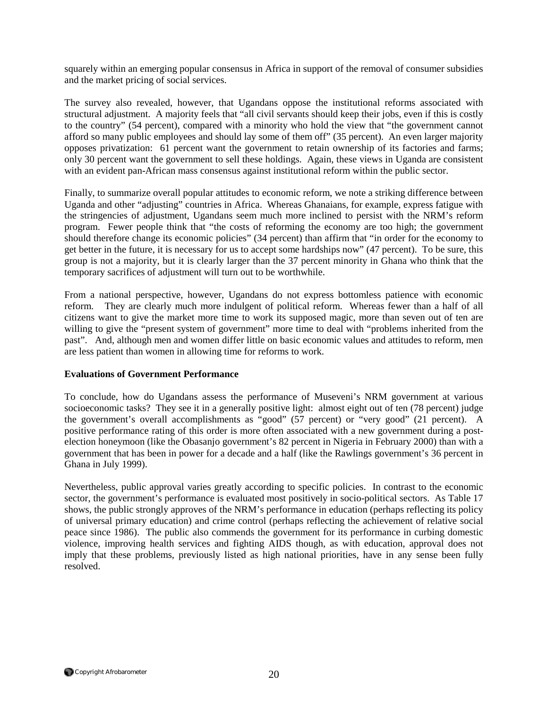squarely within an emerging popular consensus in Africa in support of the removal of consumer subsidies and the market pricing of social services.

The survey also revealed, however, that Ugandans oppose the institutional reforms associated with structural adjustment. A majority feels that "all civil servants should keep their jobs, even if this is costly to the country" (54 percent), compared with a minority who hold the view that "the government cannot afford so many public employees and should lay some of them off" (35 percent). An even larger majority opposes privatization: 61 percent want the government to retain ownership of its factories and farms; only 30 percent want the government to sell these holdings. Again, these views in Uganda are consistent with an evident pan-African mass consensus against institutional reform within the public sector.

Finally, to summarize overall popular attitudes to economic reform, we note a striking difference between Uganda and other "adjusting" countries in Africa. Whereas Ghanaians, for example, express fatigue with the stringencies of adjustment, Ugandans seem much more inclined to persist with the NRM's reform program. Fewer people think that "the costs of reforming the economy are too high; the government should therefore change its economic policies" (34 percent) than affirm that "in order for the economy to get better in the future, it is necessary for us to accept some hardships now" (47 percent). To be sure, this group is not a majority, but it is clearly larger than the 37 percent minority in Ghana who think that the temporary sacrifices of adjustment will turn out to be worthwhile.

From a national perspective, however, Ugandans do not express bottomless patience with economic reform. They are clearly much more indulgent of political reform. Whereas fewer than a half of all citizens want to give the market more time to work its supposed magic, more than seven out of ten are willing to give the "present system of government" more time to deal with "problems inherited from the past". And, although men and women differ little on basic economic values and attitudes to reform, men are less patient than women in allowing time for reforms to work.

### **Evaluations of Government Performance**

To conclude, how do Ugandans assess the performance of Museveni's NRM government at various socioeconomic tasks? They see it in a generally positive light: almost eight out of ten (78 percent) judge the government's overall accomplishments as "good" (57 percent) or "very good" (21 percent). A positive performance rating of this order is more often associated with a new government during a postelection honeymoon (like the Obasanjo government's 82 percent in Nigeria in February 2000) than with a government that has been in power for a decade and a half (like the Rawlings government's 36 percent in Ghana in July 1999).

Nevertheless, public approval varies greatly according to specific policies. In contrast to the economic sector, the government's performance is evaluated most positively in socio-political sectors. As Table 17 shows, the public strongly approves of the NRM's performance in education (perhaps reflecting its policy of universal primary education) and crime control (perhaps reflecting the achievement of relative social peace since 1986). The public also commends the government for its performance in curbing domestic violence, improving health services and fighting AIDS though, as with education, approval does not imply that these problems, previously listed as high national priorities, have in any sense been fully resolved.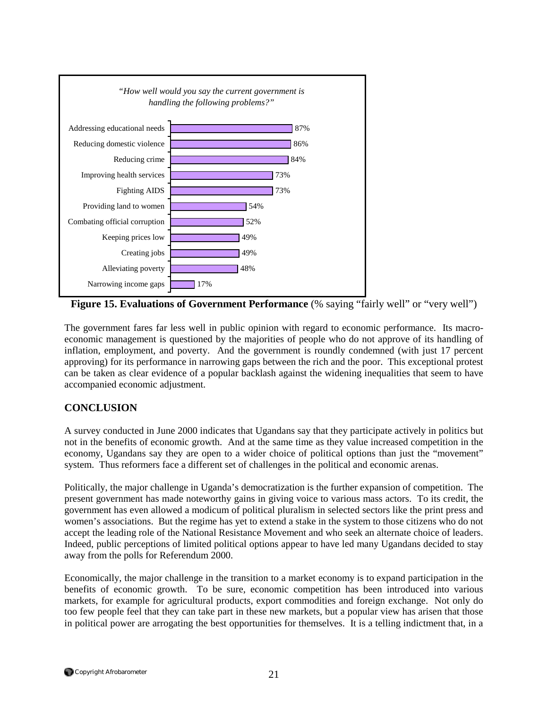

**Figure 15. Evaluations of Government Performance** (% saying "fairly well" or "very well")

The government fares far less well in public opinion with regard to economic performance. Its macroeconomic management is questioned by the majorities of people who do not approve of its handling of inflation, employment, and poverty. And the government is roundly condemned (with just 17 percent approving) for its performance in narrowing gaps between the rich and the poor. This exceptional protest can be taken as clear evidence of a popular backlash against the widening inequalities that seem to have accompanied economic adjustment.

# **CONCLUSION**

A survey conducted in June 2000 indicates that Ugandans say that they participate actively in politics but not in the benefits of economic growth. And at the same time as they value increased competition in the economy, Ugandans say they are open to a wider choice of political options than just the "movement" system. Thus reformers face a different set of challenges in the political and economic arenas.

Politically, the major challenge in Uganda's democratization is the further expansion of competition. The present government has made noteworthy gains in giving voice to various mass actors. To its credit, the government has even allowed a modicum of political pluralism in selected sectors like the print press and women's associations. But the regime has yet to extend a stake in the system to those citizens who do not accept the leading role of the National Resistance Movement and who seek an alternate choice of leaders. Indeed, public perceptions of limited political options appear to have led many Ugandans decided to stay away from the polls for Referendum 2000.

Economically, the major challenge in the transition to a market economy is to expand participation in the benefits of economic growth. To be sure, economic competition has been introduced into various markets, for example for agricultural products, export commodities and foreign exchange. Not only do too few people feel that they can take part in these new markets, but a popular view has arisen that those in political power are arrogating the best opportunities for themselves. It is a telling indictment that, in a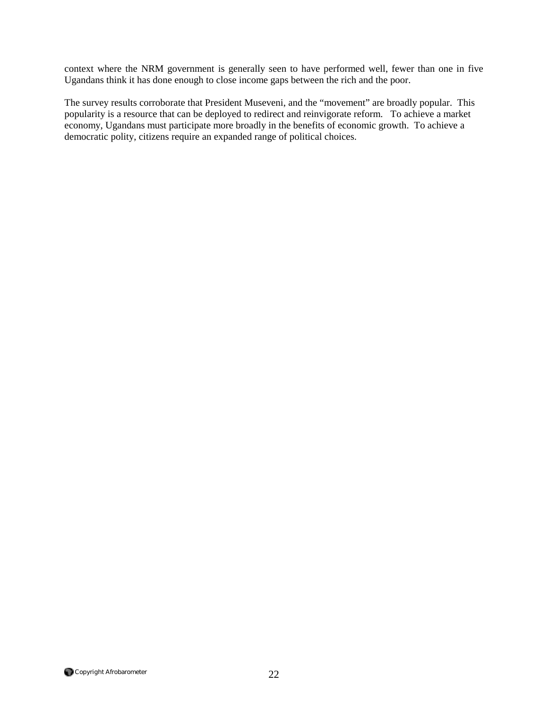context where the NRM government is generally seen to have performed well, fewer than one in five Ugandans think it has done enough to close income gaps between the rich and the poor.

The survey results corroborate that President Museveni, and the "movement" are broadly popular. This popularity is a resource that can be deployed to redirect and reinvigorate reform. To achieve a market economy, Ugandans must participate more broadly in the benefits of economic growth. To achieve a democratic polity, citizens require an expanded range of political choices.